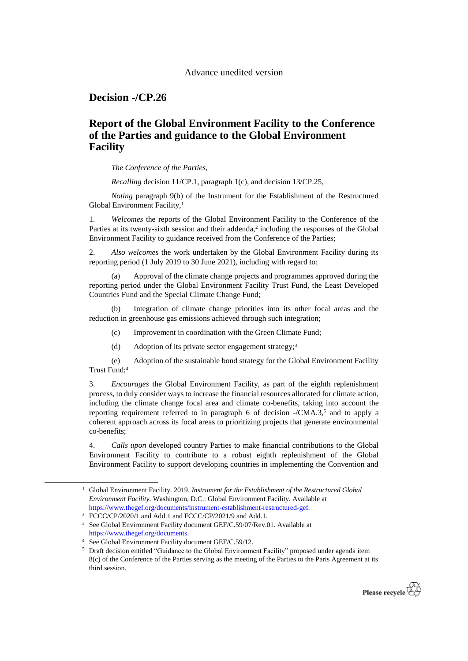## Advance unedited version

**Decision -/CP.26**

## **Report of the Global Environment Facility to the Conference of the Parties and guidance to the Global Environment Facility**

*The Conference of the Parties*,

*Recalling* decision 11/CP.1, paragraph 1(c), and decision 13/CP.25,

*Noting* paragraph 9(b) of the Instrument for the Establishment of the Restructured Global Environment Facility,<sup>1</sup>

1. *Welcomes* the reports of the Global Environment Facility to the Conference of the Parties at its twenty-sixth session and their addenda, $2$  including the responses of the Global Environment Facility to guidance received from the Conference of the Parties;

2. *Also welcomes* the work undertaken by the Global Environment Facility during its reporting period (1 July 2019 to 30 June 2021), including with regard to:

Approval of the climate change projects and programmes approved during the reporting period under the Global Environment Facility Trust Fund, the Least Developed Countries Fund and the Special Climate Change Fund;

(b) Integration of climate change priorities into its other focal areas and the reduction in greenhouse gas emissions achieved through such integration;

- (c) Improvement in coordination with the Green Climate Fund;
- (d) Adoption of its private sector engagement strategy;<sup>3</sup>

(e) Adoption of the sustainable bond strategy for the Global Environment Facility Trust Fund;<sup>4</sup>

3. *Encourages* the Global Environment Facility, as part of the eighth replenishment process, to duly consider ways to increase the financial resources allocated for climate action, including the climate change focal area and climate co-benefits, taking into account the reporting requirement referred to in paragraph 6 of decision  $\mathcal{N}$ CMA.3,5 and to apply a coherent approach across its focal areas to prioritizing projects that generate environmental co-benefits;

4. *Calls upon* developed country Parties to make financial contributions to the Global Environment Facility to contribute to a robust eighth replenishment of the Global Environment Facility to support developing countries in implementing the Convention and

1

<sup>&</sup>lt;sup>5</sup> Draft decision entitled "Guidance to the Global Environment Facility" proposed under agenda item 8(c) of the Conference of the Parties serving as the meeting of the Parties to the Paris Agreement at its third session.



<sup>1</sup> Global Environment Facility. 2019. *Instrument for the Establishment of the Restructured Global Environment Facility*. Washington, D.C.: Global Environment Facility. Available at [https://www.thegef.org/documents/instrument-establishment-restructured-gef.](https://www.thegef.org/documents/instrument-establishment-restructured-gef) 

<sup>&</sup>lt;sup>2</sup> FCCC/CP/2020/1 and Add.1 and FCCC/CP/2021/9 and Add.1.

<sup>&</sup>lt;sup>3</sup> See Global Environment Facility document GEF/C.59/07/Rev.01. Available at [https://www.thegef.org/documents.](https://www.thegef.org/documents)

<sup>4</sup> See Global Environment Facility document GEF/C.59/12.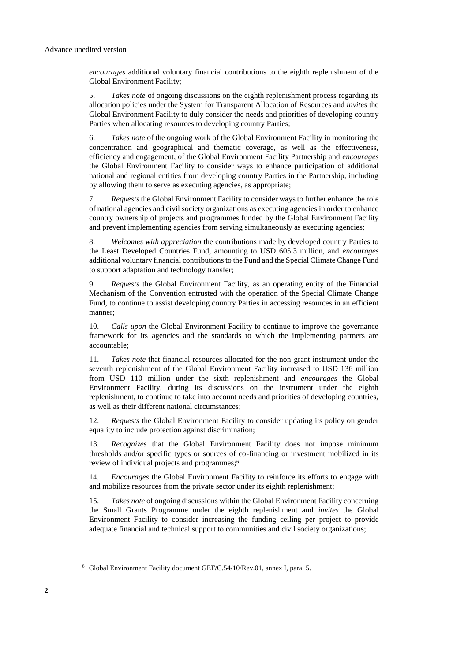*encourages* additional voluntary financial contributions to the eighth replenishment of the Global Environment Facility;

5. *Takes note* of ongoing discussions on the eighth replenishment process regarding its allocation policies under the System for Transparent Allocation of Resources and *invites* the Global Environment Facility to duly consider the needs and priorities of developing country Parties when allocating resources to developing country Parties;

6. *Takes note* of the ongoing work of the Global Environment Facility in monitoring the concentration and geographical and thematic coverage, as well as the effectiveness, efficiency and engagement, of the Global Environment Facility Partnership and *encourages* the Global Environment Facility to consider ways to enhance participation of additional national and regional entities from developing country Parties in the Partnership, including by allowing them to serve as executing agencies, as appropriate;

7. *Requests* the Global Environment Facility to consider ways to further enhance the role of national agencies and civil society organizations as executing agencies in order to enhance country ownership of projects and programmes funded by the Global Environment Facility and prevent implementing agencies from serving simultaneously as executing agencies;

8. *Welcomes with appreciation* the contributions made by developed country Parties to the Least Developed Countries Fund, amounting to USD 605.3 million, and *encourages* additional voluntary financial contributions to the Fund and the Special Climate Change Fund to support adaptation and technology transfer;

9. *Requests* the Global Environment Facility, as an operating entity of the Financial Mechanism of the Convention entrusted with the operation of the Special Climate Change Fund, to continue to assist developing country Parties in accessing resources in an efficient manner;

10. *Calls upon* the Global Environment Facility to continue to improve the governance framework for its agencies and the standards to which the implementing partners are accountable;

11. *Takes note* that financial resources allocated for the non-grant instrument under the seventh replenishment of the Global Environment Facility increased to USD 136 million from USD 110 million under the sixth replenishment and *encourages* the Global Environment Facility, during its discussions on the instrument under the eighth replenishment, to continue to take into account needs and priorities of developing countries, as well as their different national circumstances;

12. *Requests* the Global Environment Facility to consider updating its policy on gender equality to include protection against discrimination;

13. *Recognizes* that the Global Environment Facility does not impose minimum thresholds and/or specific types or sources of co-financing or investment mobilized in its review of individual projects and programmes; 6

14. *Encourages* the Global Environment Facility to reinforce its efforts to engage with and mobilize resources from the private sector under its eighth replenishment;

15. *Takes note* of ongoing discussions within the Global Environment Facility concerning the Small Grants Programme under the eighth replenishment and *invites* the Global Environment Facility to consider increasing the funding ceiling per project to provide adequate financial and technical support to communities and civil society organizations;

1

<sup>6</sup> Global Environment Facility document GEF/C.54/10/Rev.01, annex I, para. 5.